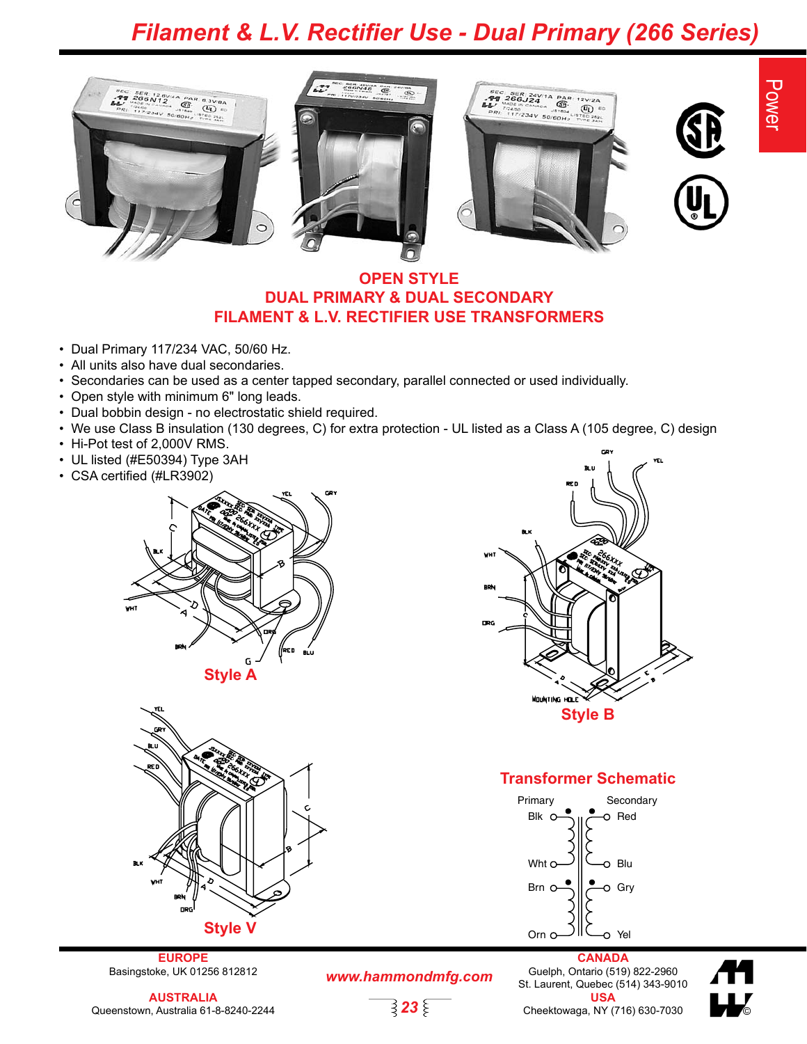### *Filament & L.V. Rectifier Use - Dual Primary (266 Series)*





Power



#### **OPEN STYLE DUAL PRIMARY & DUAL SECONDARY FILAMENT & L.V. RECTIFIER USE TRANSFORMERS**

 $\widehat{\mathfrak{G}}$ 

- Dual Primary 117/234 VAC, 50/60 Hz.
- All units also have dual secondaries.
- Secondaries can be used as a center tapped secondary, parallel connected or used individually.
- Open style with minimum 6" long leads.
- Dual bobbin design no electrostatic shield required.
- We use Class B insulation (130 degrees, C) for extra protection UL listed as a Class A (105 degree, C) design
- Hi-Pot test of 2,000V RMS.
- UL listed (#E50394) Type 3AH
- CSA certified (#LR3902)





**EUROPE** Basingstoke, UK 01256 812812

*www.hammondmfg.com*

$$
\overrightarrow{\mathbf{323}}
$$



#### **Transformer Schematic**



**CANADA** Guelph, Ontario (519) 822-2960 St. Laurent, Quebec (514) 343-9010 **USA** Cheektowaga, NY (716) 630-7030 ©

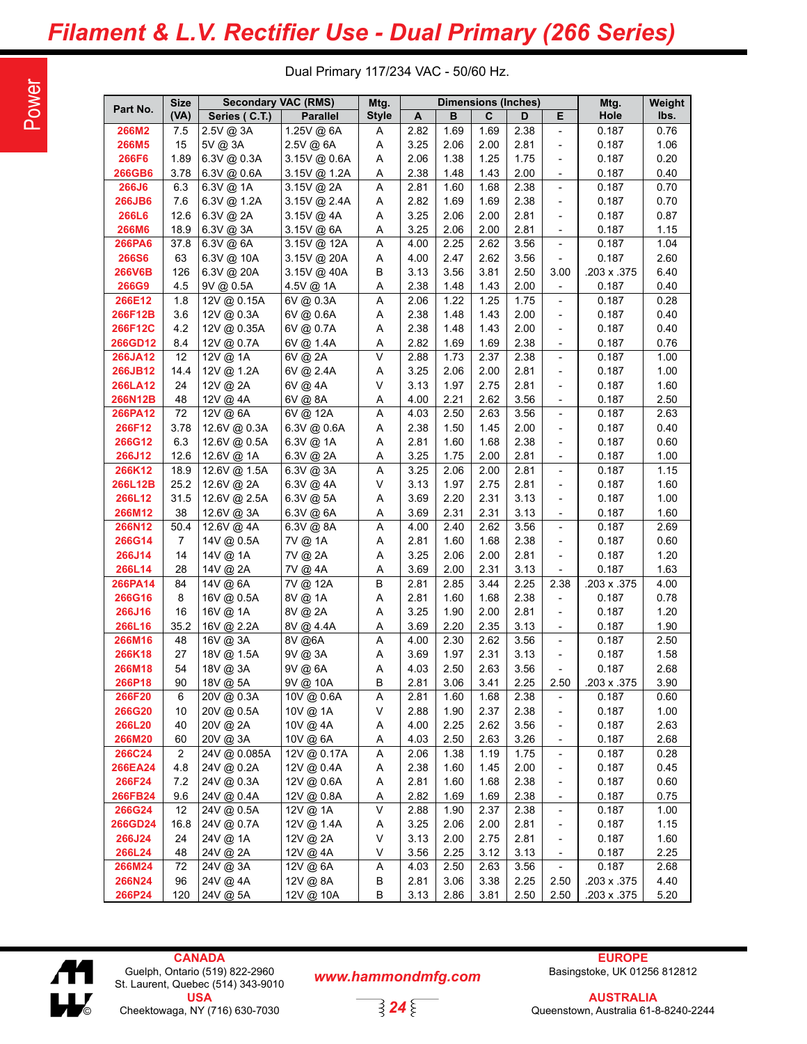## *Filament & L.V. Rectifier Use - Dual Primary (266 Series)*

Dual Primary 117/234 VAC - 50/60 Hz.

| Part No.      | <b>Size</b>    | <b>Secondary VAC (RMS)</b> |                 | Mtg.         |      |      | Dimensions (Inches) |      |                              | Mtg.        | Weight |
|---------------|----------------|----------------------------|-----------------|--------------|------|------|---------------------|------|------------------------------|-------------|--------|
|               | (VA)           | Series (C.T.)              | <b>Parallel</b> | <b>Style</b> | A    | в    | C                   | D    | E                            | Hole        | lbs.   |
| 266M2         | 7.5            | 2.5V @ 3A                  | 1.25V @ 6A      | Α            | 2.82 | 1.69 | 1.69                | 2.38 | $\overline{\phantom{a}}$     | 0.187       | 0.76   |
| <b>266M5</b>  | 15             | 5V @ 3A                    | 2.5V @ 6A       | Α            | 3.25 | 2.06 | 2.00                | 2.81 | $\overline{\phantom{a}}$     | 0.187       | 1.06   |
| <b>266F6</b>  | 1.89           | 6.3V @ 0.3A                | 3.15V @ 0.6A    | Α            | 2.06 | 1.38 | 1.25                | 1.75 | $\overline{\phantom{a}}$     | 0.187       | 0.20   |
| <b>266GB6</b> | 3.78           | 6.3V @ 0.6A                | 3.15V @ 1.2A    | Α            | 2.38 | 1.48 | 1.43                | 2.00 | $\overline{\phantom{a}}$     | 0.187       | 0.40   |
| 266J6         | 6.3            | 6.3V @ 1A                  | 3.15V @ 2A      | Α            | 2.81 | 1.60 | 1.68                | 2.38 | $\overline{\phantom{a}}$     | 0.187       | 0.70   |
| 266JB6        | 7.6            | 6.3V @ 1.2A                | 3.15V @ 2.4A    | Α            | 2.82 | 1.69 | 1.69                | 2.38 | $\qquad \qquad -$            | 0.187       | 0.70   |
| 266L6         | 12.6           | 6.3V @ 2A                  | 3.15V @ 4A      | Α            | 3.25 | 2.06 | 2.00                | 2.81 | $\overline{\phantom{a}}$     | 0.187       | 0.87   |
| <b>266M6</b>  | 18.9           | $6.3V$ @ 3A                | 3.15V @ 6A      | Α            | 3.25 | 2.06 | 2.00                | 2.81 | $\overline{\phantom{a}}$     | 0.187       | 1.15   |
| <b>266PA6</b> | 37.8           | $6.3V$ @ 6A                | 3.15V @ 12A     | Α            | 4.00 | 2.25 | 2.62                | 3.56 | $\overline{\phantom{a}}$     | 0.187       | 1.04   |
| <b>266S6</b>  | 63             | $6.3V$ @ 10A               | 3.15V @ 20A     | Α            | 4.00 | 2.47 | 2.62                | 3.56 | $\overline{\phantom{a}}$     | 0.187       | 2.60   |
| <b>266V6B</b> | 126            | 6.3V @ 20A                 | 3.15V @ 40A     | В            | 3.13 | 3.56 | 3.81                | 2.50 | 3.00                         | .203 x .375 | 6.40   |
| 266G9         | 4.5            | 9V @ 0.5A                  | 4.5V @ 1A       | Α            | 2.38 | 1.48 | 1.43                | 2.00 | $\overline{\phantom{a}}$     | 0.187       | 0.40   |
| 266E12        | 1.8            | 12V @ 0.15A                | 6V @ 0.3A       | Α            | 2.06 | 1.22 | 1.25                | 1.75 | $\overline{\phantom{a}}$     | 0.187       | 0.28   |
| 266F12B       | 3.6            | 12V @ 0.3A                 | 6V @ 0.6A       | Α            | 2.38 | 1.48 | 1.43                | 2.00 | $\overline{\phantom{a}}$     | 0.187       | 0.40   |
| 266F12C       | 4.2            | 12V @ 0.35A                | 6V @ 0.7A       | Α            | 2.38 | 1.48 | 1.43                | 2.00 | $\overline{\phantom{a}}$     | 0.187       | 0.40   |
| 266GD12       | 8.4            | 12V @ 0.7A                 | 6V @ 1.4A       | Α            | 2.82 | 1.69 | 1.69                | 2.38 | $\overline{\phantom{a}}$     | 0.187       | 0.76   |
| 266JA12       | 12             | 12V @ 1A                   | 6V @ 2A         | V            | 2.88 | 1.73 | 2.37                | 2.38 | $\overline{\phantom{a}}$     | 0.187       | 1.00   |
| 266JB12       | 14.4           | 12V @ 1.2A                 | 6V @ 2.4A       | A            | 3.25 | 2.06 | 2.00                | 2.81 | $\overline{\phantom{a}}$     | 0.187       | 1.00   |
| 266LA12       | 24             | 12V @ 2A                   | 6V @ 4A         | V            | 3.13 | 1.97 | 2.75                | 2.81 | $\overline{\phantom{a}}$     | 0.187       | 1.60   |
| 266N12B       | 48             | 12V @ 4A                   | 6V @ 8A         | Α            | 4.00 | 2.21 | 2.62                | 3.56 | $\overline{\phantom{a}}$     | 0.187       | 2.50   |
| 266PA12       | 72             | 12V @ 6A                   | 6V @ 12A        | Α            | 4.03 | 2.50 | 2.63                | 3.56 | $\blacksquare$               | 0.187       | 2.63   |
| 266F12        | 3.78           | 12.6V @ 0.3A               | 6.3V @ 0.6A     | Α            | 2.38 | 1.50 | 1.45                | 2.00 | $\overline{\phantom{a}}$     | 0.187       | 0.40   |
| 266G12        | 6.3            | 12.6V @ 0.5A               | 6.3V @ 1A       | A            | 2.81 | 1.60 | 1.68                | 2.38 | $\overline{\phantom{0}}$     | 0.187       | 0.60   |
| 266J12        | 12.6           | 12.6V @ 1A                 | 6.3V @ 2A       | Α            | 3.25 | 1.75 | 2.00                | 2.81 | $\overline{\phantom{a}}$     | 0.187       | 1.00   |
| 266K12        | 18.9           | 12.6V @ 1.5A               | 6.3V @ 3A       | Α            | 3.25 | 2.06 | 2.00                | 2.81 | $\overline{\phantom{a}}$     | 0.187       | 1.15   |
| 266L12B       | 25.2           | 12.6V @ 2A                 | 6.3V @ 4A       | V            | 3.13 | 1.97 | 2.75                | 2.81 | $\overline{\phantom{0}}$     | 0.187       | 1.60   |
| 266L12        | 31.5           | 12.6V @ 2.5A               | 6.3V @ 5A       | A            | 3.69 | 2.20 | 2.31                | 3.13 | $\overline{\phantom{a}}$     | 0.187       | 1.00   |
| 266M12        | 38             | 12.6V @ 3A                 | 6.3V @ 6A       | Α            | 3.69 | 2.31 | 2.31                | 3.13 | $\overline{\phantom{a}}$     | 0.187       | 1.60   |
| 266N12        | 50.4           | 12.6V @ 4A                 | 6.3V @ 8A       | А            | 4.00 | 2.40 | 2.62                | 3.56 | $\overline{\phantom{0}}$     | 0.187       | 2.69   |
| 266G14        | 7              | 14V @ 0.5A                 | 7V @ 1A         | Α            | 2.81 | 1.60 | 1.68                | 2.38 | $\overline{\phantom{0}}$     | 0.187       | 0.60   |
| 266J14        | 14             | 14V @ 1A                   | 7V @ 2A         | Α            | 3.25 | 2.06 | 2.00                | 2.81 | $\overline{\phantom{a}}$     | 0.187       | 1.20   |
| 266L14        | 28             | 14V @ 2A                   | 7V @ 4A         | Α            | 3.69 | 2.00 | 2.31                | 3.13 | $\overline{\phantom{a}}$     | 0.187       | 1.63   |
| 266PA14       | 84             | 14V @ 6A                   | 7V @ 12A        | B            | 2.81 | 2.85 | 3.44                | 2.25 | 2.38                         | .203 x .375 | 4.00   |
| 266G16        | 8              | 16V @ 0.5A                 | 8V @ 1A         | Α            | 2.81 | 1.60 | 1.68                | 2.38 | $\overline{\phantom{a}}$     | 0.187       | 0.78   |
| 266J16        | 16             | 16V @ 1A                   | 8V @ 2A         | Α            | 3.25 | 1.90 | 2.00                | 2.81 | $\qquad \qquad -$            | 0.187       | 1.20   |
| 266L16        | 35.2           | 16V @ 2.2A                 | 8V @ 4.4A       | Α            | 3.69 | 2.20 | 2.35                | 3.13 | $\overline{\phantom{a}}$     | 0.187       | 1.90   |
| 266M16        | 48             | 16V @ 3A                   | 8V @6A          | Α            | 4.00 | 2.30 | 2.62                | 3.56 | $\overline{\phantom{a}}$     | 0.187       | 2.50   |
| 266K18        | 27             | 18V @ 1.5A                 | 9V @ 3A         | Α            | 3.69 | 1.97 | 2.31                | 3.13 | $\overline{\phantom{a}}$     | 0.187       | 1.58   |
| 266M18        | 54             | 18V @ 3A                   | 9V @ 6A         | Α            | 4.03 | 2.50 | 2.63                | 3.56 |                              | 0.187       | 2.68   |
| 266P18        | 90             | 18V @ 5A                   | 9V @ 10A        | B            | 2.81 | 3.06 | 3.41                | 2.25 | 2.50                         | .203 x .375 | 3.90   |
| 266F20        | 6              | 20V @ 0.3A                 | 10V @ 0.6A      | Α            | 2.81 | 1.60 | 1.68                | 2.38 | $\overline{\phantom{a}}$     | 0.187       | 0.60   |
| 266G20        | 10             | 20V @ 0.5A                 | 10V @ 1A        | V            | 2.88 | 1.90 | 2.37                | 2.38 | $\qquad \qquad \blacksquare$ | 0.187       | 1.00   |
| 266L20        | 40             | 20V @ 2A                   | 10V @ 4A        | Α            | 4.00 | 2.25 | 2.62                | 3.56 | $\qquad \qquad \blacksquare$ | 0.187       | 2.63   |
| 266M20        | 60             | 20V @ 3A                   | 10V @ 6A        | Α            | 4.03 | 2.50 | 2.63                | 3.26 | $\overline{\phantom{a}}$     | 0.187       | 2.68   |
| <b>266C24</b> | $\overline{c}$ | 24V @ 0.085A               | 12V @ 0.17A     | Α            | 2.06 | 1.38 | 1.19                | 1.75 | $\overline{\phantom{a}}$     | 0.187       | 0.28   |
| 266EA24       | 4.8            | 24V @ 0.2A                 | 12V @ 0.4A      | Α            | 2.38 | 1.60 | 1.45                | 2.00 | $\overline{\phantom{a}}$     | 0.187       | 0.45   |
| 266F24        | 7.2            | 24V @ 0.3A                 | 12V @ 0.6A      | Α            | 2.81 | 1.60 | 1.68                | 2.38 | $\overline{\phantom{a}}$     | 0.187       | 0.60   |
| 266FB24       | 9.6            | 24V @ 0.4A                 | 12V @ 0.8A      | Α            | 2.82 | 1.69 | 1.69                | 2.38 | $\overline{\phantom{a}}$     | 0.187       | 0.75   |
| 266G24        | 12             | 24V @ 0.5A                 | 12V @ 1A        | V            | 2.88 | 1.90 | 2.37                | 2.38 | $\overline{\phantom{a}}$     | 0.187       | 1.00   |
| 266GD24       | 16.8           | 24V @ 0.7A                 | 12V @ 1.4A      | Α            | 3.25 | 2.06 | 2.00                | 2.81 | $\qquad \qquad \blacksquare$ | 0.187       | 1.15   |
| 266J24        | 24             | 24V @ 1A                   | 12V @ 2A        | V            | 3.13 | 2.00 | 2.75                | 2.81 | $\overline{\phantom{a}}$     | 0.187       | 1.60   |
| 266L24        | 48             | 24V @ 2A                   | 12V @ 4A        | V            | 3.56 | 2.25 | 3.12                | 3.13 | $\overline{\phantom{a}}$     | 0.187       | 2.25   |
| 266M24        | 72             | 24V @ 3A                   | 12V @ 6A        | Α            | 4.03 | 2.50 | 2.63                | 3.56 | $\overline{\phantom{a}}$     | 0.187       | 2.68   |
| 266N24        | 96             | 24V @ 4A                   | 12V @ 8A        | B            | 2.81 | 3.06 | 3.38                | 2.25 | 2.50                         | .203 x .375 | 4.40   |
| 266P24        | 120            | 24V @ 5A                   | 12V @ 10A       | В            | 3.13 | 2.86 | 3.81                | 2.50 | 2.50                         | .203 x .375 | 5.20   |



**CANADA** Guelph, Ontario (519) 822-2960 St. Laurent, Quebec (514) 343-9010 **USA** © Cheektowaga, NY (716) 630-7030

#### *www.hammondmfg.com*

*24*

**EUROPE** Basingstoke, UK 01256 812812

**AUSTRALIA** Queenstown, Australia 61-8-8240-2244